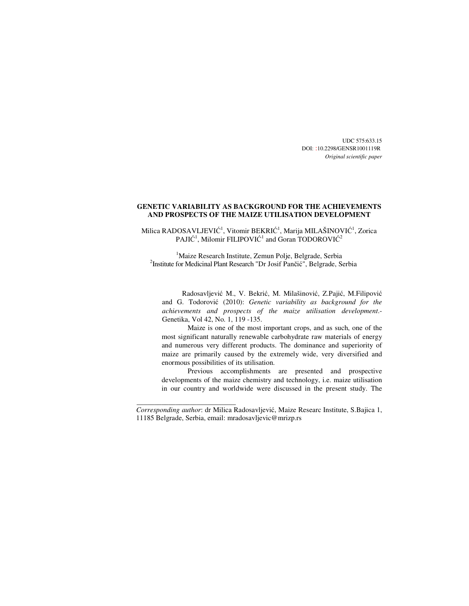UDC 575:633.15 DOI: :10.2298/GENSR1001119R *Original scientific paper* 

# **GENETIC VARIABILITY AS BACKGROUND FOR THE ACHIEVEMENTS AND PROSPECTS OF THE MAIZE UTILISATION DEVELOPMENT**

Milica RADOSAVLJEVIĆ<sup>1</sup>, Vitomir BEKRIĆ<sup>1</sup>, Marija MILAŠINOVIĆ<sup>1</sup>, Zorica  $\mathrm{PAJI}\mathrm{C}^1,$  Milomir FILIPOVI $\mathrm{C}^1$  and Goran TODOROVI $\mathrm{C}^2$ 

<sup>1</sup>Maize Research Institute, Zemun Polie, Belgrade, Serbia <sup>2</sup>Institute for Medicinal Plant Research "Dr Josif Pančić", Belgrade, Serbia

Radosavljević M., V. Bekrić, M. Milašinović, Z.Pajić, M.Filipović and G. Todorović (2010): *Genetic variability as background for the achievements and prospects of the maize utilisation development*.- Genetika, Vol 42, No. 1, 119 -135.

Maize is one of the most important crops, and as such, one of the most significant naturally renewable carbohydrate raw materials of energy and numerous very different products. The dominance and superiority of maize are primarily caused by the extremely wide, very diversified and enormous possibilities of its utilisation.

Previous accomplishments are presented and prospective developments of the maize chemistry and technology, i.e. maize utilisation in our country and worldwide were discussed in the present study. The

\_\_\_\_\_\_\_\_\_\_\_\_\_\_\_\_\_\_\_\_\_\_\_\_\_\_\_\_

*Corresponding author*: dr Milica Radosavljević, Maize Researc Institute, S.Bajica 1, 11185 Belgrade, Serbia, email: mradosavljevic@mrizp.rs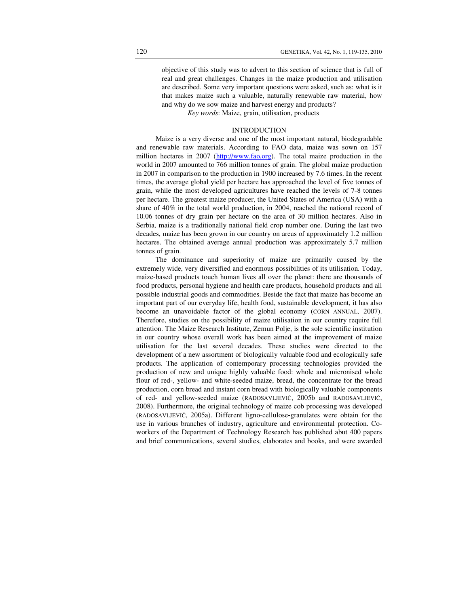objective of this study was to advert to this section of science that is full of real and great challenges. Changes in the maize production and utilisation are described. Some very important questions were asked, such as: what is it that makes maize such a valuable, naturally renewable raw material, how and why do we sow maize and harvest energy and products?

*Key words*: Maize, grain, utilisation, products

## INTRODUCTION

Maize is a very diverse and one of the most important natural, biodegradable and renewable raw materials. According to FAO data, maize was sown on 157 million hectares in 2007 (http://www.fao.org). The total maize production in the world in 2007 amounted to 766 million tonnes of grain. The global maize production in 2007 in comparison to the production in 1900 increased by 7.6 times. In the recent times, the average global yield per hectare has approached the level of five tonnes of grain, while the most developed agricultures have reached the levels of 7-8 tonnes per hectare. The greatest maize producer, the United States of America (USA) with a share of 40% in the total world production, in 2004, reached the national record of 10.06 tonnes of dry grain per hectare on the area of 30 million hectares. Also in Serbia, maize is a traditionally national field crop number one. During the last two decades, maize has been grown in our country on areas of approximately 1.2 million hectares. The obtained average annual production was approximately 5.7 million tonnes of grain.

The dominance and superiority of maize are primarily caused by the extremely wide, very diversified and enormous possibilities of its utilisation. Today, maize-based products touch human lives all over the planet: there are thousands of food products, personal hygiene and health care products, household products and all possible industrial goods and commodities. Beside the fact that maize has become an important part of our everyday life, health food, sustainable development, it has also become an unavoidable factor of the global economy (CORN ANNUAL, 2007). Therefore, studies on the possibility of maize utilisation in our country require full attention. The Maize Research Institute, Zemun Polje, is the sole scientific institution in our country whose overall work has been aimed at the improvement of maize utilisation for the last several decades. These studies were directed to the development of a new assortment of biologically valuable food and ecologically safe products. The application of contemporary processing technologies provided the production of new and unique highly valuable food: whole and micronised whole flour of red-, yellow- and white-seeded maize, bread, the concentrate for the bread production, corn bread and instant corn bread with biologically valuable components of red- and yellow-seeded maize (RADOSAVLJEVIĆ, 2005b and RADOSAVLJEVIĆ, 2008). Furthermore, the original technology of maize cob processing was developed (RADOSAVLJEVIĆ, 2005a). Different ligno-cellulose**-**granulates were obtain for the use in various branches of industry, agriculture and environmental protection. Coworkers of the Department of Technology Research has published abut 400 papers and brief communications, several studies, elaborates and books, and were awarded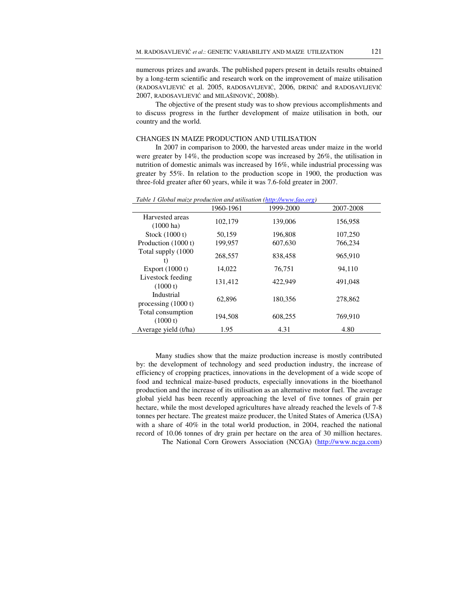numerous prizes and awards. The published papers present in details results obtained by a long-term scientific and research work on the improvement of maize utilisation (RADOSAVLJEVIĆ et al. 2005, RADOSAVLJEVIĆ, 2006, DRINIĆ and RADOSAVLJEVIĆ 2007, RADOSAVLJEVIĆ and MILAŠINOVIĆ, 2008b).

The objective of the present study was to show previous accomplishments and to discuss progress in the further development of maize utilisation in both, our country and the world.

## CHANGES IN MAIZE PRODUCTION AND UTILISATION

In 2007 in comparison to 2000, the harvested areas under maize in the world were greater by 14%, the production scope was increased by 26%, the utilisation in nutrition of domestic animals was increased by 16%, while industrial processing was greater by 55%. In relation to the production scope in 1900, the production was three-fold greater after 60 years, while it was 7.6-fold greater in 2007.

| Tube T Gibbai mage production and annisation (http://www.jub.org/ |           |           |           |  |  |  |  |
|-------------------------------------------------------------------|-----------|-----------|-----------|--|--|--|--|
|                                                                   | 1960-1961 | 1999-2000 | 2007-2008 |  |  |  |  |
| Harvested areas<br>$(1000 \text{ ha})$                            | 102,179   | 139,006   | 156,958   |  |  |  |  |
| Stock $(1000 t)$                                                  | 50,159    | 196,808   | 107,250   |  |  |  |  |
| Production (1000 t)                                               | 199,957   | 607,630   | 766,234   |  |  |  |  |
| Total supply (1000)<br>t)                                         | 268,557   | 838,458   | 965,910   |  |  |  |  |
| Export $(1000 t)$                                                 | 14,022    | 76.751    | 94,110    |  |  |  |  |
| Livestock feeding<br>(1000 t)                                     | 131,412   | 422,949   | 491,048   |  |  |  |  |
| Industrial<br>processing $(1000 t)$                               | 62,896    | 180,356   | 278,862   |  |  |  |  |
| Total consumption<br>(1000 t)                                     | 194,508   | 608,255   | 769,910   |  |  |  |  |
| Average yield (t/ha)                                              | 1.95      | 4.31      | 4.80      |  |  |  |  |

*Table 1 Global maize production and utilisation (http://www.fao.org)*

Many studies show that the maize production increase is mostly contributed by: the development of technology and seed production industry, the increase of efficiency of cropping practices, innovations in the development of a wide scope of food and technical maize-based products, especially innovations in the bioethanol production and the increase of its utilisation as an alternative motor fuel. The average global yield has been recently approaching the level of five tonnes of grain per hectare, while the most developed agricultures have already reached the levels of 7-8 tonnes per hectare. The greatest maize producer, the United States of America (USA) with a share of 40% in the total world production, in 2004, reached the national record of 10.06 tonnes of dry grain per hectare on the area of 30 million hectares.

The National Corn Growers Association (NCGA) (http://www.ncga.com)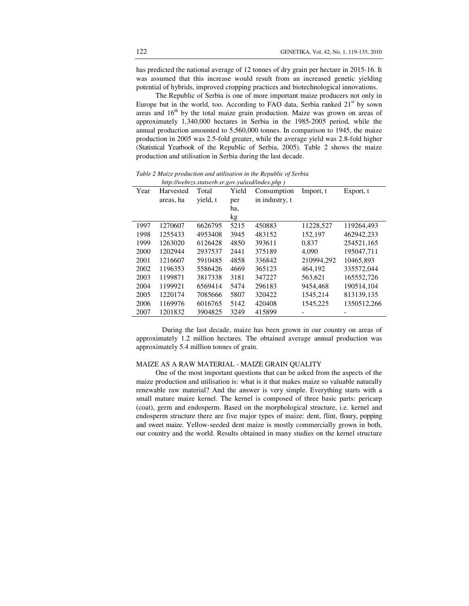has predicted the national average of 12 tonnes of dry grain per hectare in 2015-16. It was assumed that this increase would result from an increased genetic yielding potential of hybrids, improved cropping practices and biotechnological innovations.

The Republic of Serbia is one of more important maize producers not only in Europe but in the world, too. According to FAO data, Serbia ranked  $21<sup>st</sup>$  by sown areas and  $16<sup>th</sup>$  by the total maize grain production. Maize was grown on areas of approximately 1,340,000 hectares in Serbia in the 1985-2005 period, while the annual production amounted to 5,560,000 tonnes. In comparison to 1945, the maize production in 2005 was 2.5-fold greater, while the average yield was 2.8-fold higher (Statistical Yearbook of the Republic of Serbia, 2005). Table 2 shows the maize production and utilisation in Serbia during the last decade.

*Table 2 Maize production and utilisation in the Republic of Serbia http://webrzs.statserb.sr.gov.yu/axd/index.php )* 

| Year | Harvested | Total    | Yield | Consumption    | Import, t  | Export, t   |
|------|-----------|----------|-------|----------------|------------|-------------|
|      | areas, ha | yield, t | per   | in industry, t |            |             |
|      |           |          | ha,   |                |            |             |
|      |           |          | kg    |                |            |             |
| 1997 | 1270607   | 6626795  | 5215  | 450883         | 11228,527  | 119264.493  |
| 1998 | 1255433   | 4953408  | 3945  | 483152         | 152,197    | 462942.233  |
| 1999 | 1263020   | 6126428  | 4850  | 393611         | 0.837      | 254521.165  |
| 2000 | 1202944   | 2937537  | 2441  | 375189         | 4,090      | 195047.711  |
| 2001 | 1216607   | 5910485  | 4858  | 336842         | 210994.292 | 10465.893   |
| 2002 | 1196353   | 5586426  | 4669  | 365123         | 464.192    | 335572,044  |
| 2003 | 1199871   | 3817338  | 3181  | 347227         | 563.621    | 165552,726  |
| 2004 | 1199921   | 6569414  | 5474  | 296183         | 9454.468   | 190514.104  |
| 2005 | 1220174   | 7085666  | 5807  | 320422         | 1545,214   | 813139,135  |
| 2006 | 1169976   | 6016765  | 5142  | 420408         | 1545,225   | 1350512,266 |
| 2007 | 1201832   | 3904825  | 3249  | 415899         |            |             |

During the last decade, maize has been grown in our country on areas of approximately 1.2 million hectares. The obtained average annual production was approximately 5.4 million tonnes of grain.

# MAIZE AS A RAW MATERIAL - MAIZE GRAIN QUALITY

One of the most important questions that can be asked from the aspects of the maize production and utilisation is: what is it that makes maize so valuable naturally renewable raw material? And the answer is very simple. Everything starts with a small mature maize kernel. The kernel is composed of three basic parts: pericarp (coat), germ and endosperm. Based on the morphological structure, i.e. kernel and endosperm structure there are five major types of maize: dent, flint, floury, popping and sweet maize. Yellow-seeded dent maize is mostly commercially grown in both, our country and the world. Results obtained in many studies on the kernel structure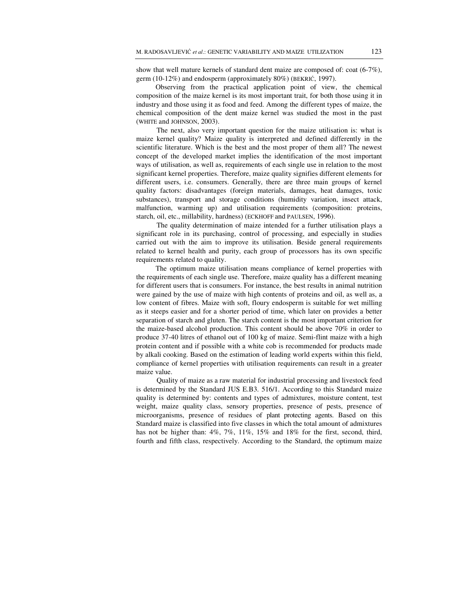show that well mature kernels of standard dent maize are composed of: coat (6-7%), germ (10-12%) and endosperm (approximately 80%) (BEKRIĆ, 1997).

Observing from the practical application point of view, the chemical composition of the maize kernel is its most important trait, for both those using it in industry and those using it as food and feed. Among the different types of maize, the chemical composition of the dent maize kernel was studied the most in the past (WHITE and JOHNSON, 2003).

The next, also very important question for the maize utilisation is: what is maize kernel quality? Maize quality is interpreted and defined differently in the scientific literature. Which is the best and the most proper of them all? The newest concept of the developed market implies the identification of the most important ways of utilisation, as well as, requirements of each single use in relation to the most significant kernel properties. Therefore, maize quality signifies different elements for different users, i.e. consumers. Generally, there are three main groups of kernel quality factors: disadvantages (foreign materials, damages, heat damages, toxic substances), transport and storage conditions (humidity variation, insect attack, malfunction, warming up) and utilisation requirements (composition: proteins, starch, oil, etc., millability, hardness) (ECKHOFF and PAULSEN, 1996).

 The quality determination of maize intended for a further utilisation plays a significant role in its purchasing, control of processing, and especially in studies carried out with the aim to improve its utilisation. Beside general requirements related to kernel health and purity, each group of processors has its own specific requirements related to quality.

 The optimum maize utilisation means compliance of kernel properties with the requirements of each single use. Therefore, maize quality has a different meaning for different users that is consumers. For instance, the best results in animal nutrition were gained by the use of maize with high contents of proteins and oil, as well as, a low content of fibres. Maize with soft, floury endosperm is suitable for wet milling as it steeps easier and for a shorter period of time, which later on provides a better separation of starch and gluten. The starch content is the most important criterion for the maize-based alcohol production. This content should be above 70% in order to produce 37-40 litres of ethanol out of 100 kg of maize. Semi-flint maize with a high protein content and if possible with a white cob is recommended for products made by alkali cooking. Based on the estimation of leading world experts within this field, compliance of kernel properties with utilisation requirements can result in a greater maize value.

Quality of maize as a raw material for industrial processing and livestock feed is determined by the Standard JUS E.B3. 516/1. According to this Standard maize quality is determined by: contents and types of admixtures, moisture content, test weight, maize quality class, sensory properties, presence of pests, presence of microorganisms, presence of residues of plant protecting agents. Based on this Standard maize is classified into five classes in which the total amount of admixtures has not be higher than:  $4\%, 7\%, 11\%, 15\%$  and  $18\%$  for the first, second, third, fourth and fifth class, respectively. According to the Standard, the optimum maize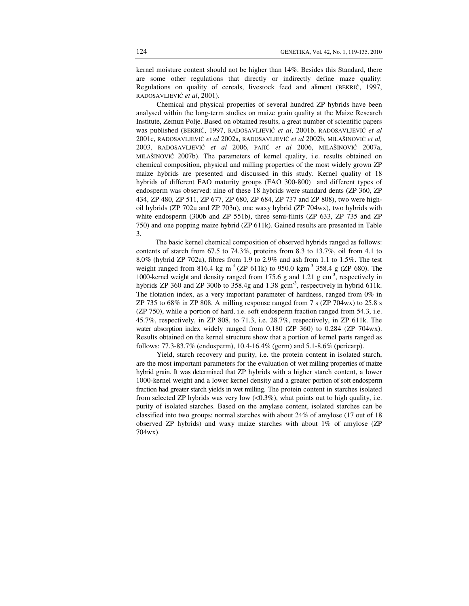kernel moisture content should not be higher than 14%. Besides this Standard, there are some other regulations that directly or indirectly define maze quality: Regulations on quality of cereals, livestock feed and aliment (BEKRIĆ, 1997, RADOSAVLJEVIĆ *et al*, 2001).

Chemical and physical properties of several hundred ZP hybrids have been analysed within the long-term studies on maize grain quality at the Maize Research Institute, Zemun Polje. Based on obtained results, a great number of scientific papers was published (BEKRIĆ, 1997, RADOSAVLJEVIĆ *et al*, 2001b, RADOSAVLJEVIĆ *et al* 2001c, RADOSAVLJEVIĆ *et al* 2002a, RADOSAVLJEVIĆ *et al* 2002b, MILAŠINOVIĆ *et al,* 2003, RADOSAVLJEVIĆ *et al* 2006, PAJIĆ *et al* 2006, MILAŠINOVIĆ 2007a, MILAŠINOVIĆ 2007b). The parameters of kernel quality, i.e. results obtained on chemical composition, physical and milling properties of the most widely grown ZP maize hybrids are presented and discussed in this study. Kernel quality of 18 hybrids of different FAO maturity groups (FAO 300-800) and different types of endosperm was observed: nine of these 18 hybrids were standard dents (ZP 360, ZP 434, ZP 480, ZP 511, ZP 677, ZP 680, ZP 684, ZP 737 and ZP 808), two were highoil hybrids (ZP 702u and ZP 703u), one waxy hybrid (ZP 704wx), two hybrids with white endosperm (300b and ZP 551b), three semi-flints (ZP 633, ZP 735 and ZP 750) and one popping maize hybrid (ZP 611k). Gained results are presented in Table 3.

 The basic kernel chemical composition of observed hybrids ranged as follows: contents of starch from 67.5 to 74.3%, proteins from 8.3 to 13.7%, oil from 4.1 to 8.0% (hybrid ZP 702u), fibres from 1.9 to 2.9% and ash from 1.1 to 1.5%. The test weight ranged from 816.4 kg m<sup>-3</sup> (ZP 611k) to 950.0 kgm<sup>-3</sup> 358.4 g (ZP 680). The 1000-kernel weight and density ranged from 175.6 g and 1.21 g cm-3, respectively in hybrids ZP 360 and ZP 300b to 358.4g and  $1.38 \text{ gcm}^{-3}$ , respectively in hybrid 611k. The flotation index, as a very important parameter of hardness, ranged from 0% in ZP 735 to 68% in ZP 808. A milling response ranged from 7 s (ZP 704wx) to 25.8 s (ZP 750), while a portion of hard, i.e. soft endosperm fraction ranged from 54.3, i.e. 45.7%, respectively, in ZP 808, to 71.3, i.e. 28.7%, respectively, in ZP 611k. The water absorption index widely ranged from 0.180 (ZP 360) to 0.284 (ZP 704wx). Results obtained on the kernel structure show that a portion of kernel parts ranged as follows: 77.3-83.7% (endosperm), 10.4-16.4% (germ) and 5.1-8.6% (pericarp).

Yield, starch recovery and purity, i.e. the protein content in isolated starch, are the most important parameters for the evaluation of wet milling properties of maize hybrid grain. It was determined that ZP hybrids with a higher starch content, a lower 1000-kernel weight and a lower kernel density and a greater portion of soft endosperm fraction had greater starch yields in wet milling. The protein content in starches isolated from selected ZP hybrids was very low  $( $0.3\%$ )$ , what points out to high quality, i.e. purity of isolated starches. Based on the amylase content, isolated starches can be classified into two groups: normal starches with about 24% of amylose (17 out of 18 observed ZP hybrids) and waxy maize starches with about 1% of amylose (ZP 704wx).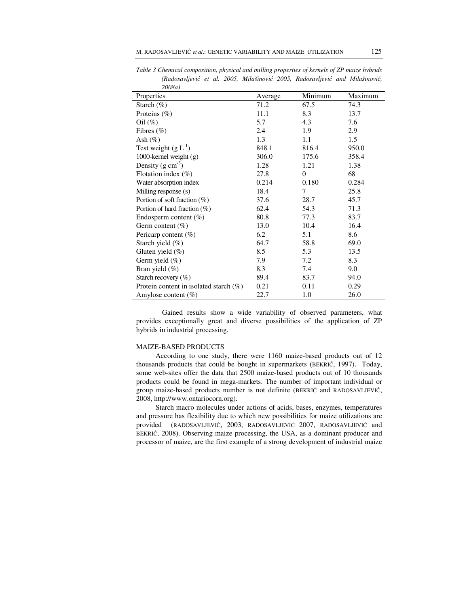| zuuoa)                                    |         |          |         |
|-------------------------------------------|---------|----------|---------|
| Properties                                | Average | Minimum  | Maximum |
| Starch $(\%)$                             | 71.2    | 67.5     | 74.3    |
| Proteins $(\%)$                           | 11.1    | 8.3      | 13.7    |
| $\text{Oil}(\%)$                          | 5.7     | 4.3      | 7.6     |
| Fibres $(\% )$                            | 2.4     | 1.9      | 2.9     |
| Ash $(\%)$                                | 1.3     | 1.1      | 1.5     |
| Test weight $(g L-1)$                     | 848.1   | 816.4    | 950.0   |
| 1000-kernel weight $(g)$                  | 306.0   | 175.6    | 358.4   |
| Density $(g \text{ cm}^{-3})$             | 1.28    | 1.21     | 1.38    |
| Flotation index $(\% )$                   | 27.8    | $\theta$ | 68      |
| Water absorption index                    | 0.214   | 0.180    | 0.284   |
| Milling response (s)                      | 18.4    | $\tau$   | 25.8    |
| Portion of soft fraction $(\%)$           | 37.6    | 28.7     | 45.7    |
| Portion of hard fraction $(\%)$           | 62.4    | 54.3     | 71.3    |
| Endosperm content $(\%)$                  | 80.8    | 77.3     | 83.7    |
| Germ content $(\%)$                       | 13.0    | 10.4     | 16.4    |
| Pericarp content (%)                      | 6.2     | 5.1      | 8.6     |
| Starch yield $(\% )$                      | 64.7    | 58.8     | 69.0    |
| Gluten yield $(\%)$                       | 8.5     | 5.3      | 13.5    |
| Germ yield $(\% )$                        | 7.9     | 7.2      | 8.3     |
| Bran yield $(\%)$                         | 8.3     | 7.4      | 9.0     |
| Starch recovery $(\%)$                    | 89.4    | 83.7     | 94.0    |
| Protein content in isolated starch $(\%)$ | 0.21    | 0.11     | 0.29    |
| Amylose content $(\%)$                    | 22.7    | 1.0      | 26.0    |

*Table 3 Chemical composition, physical and milling properties of kernels of ZP maize hybrids (Radosavljevi*ć *et al. 2005, Milašinovi*ć *2005, Radosavljevi*ć *and Milašinovi*ć*, 2008a)* 

 Gained results show a wide variability of observed parameters, what provides exceptionally great and diverse possibilities of the application of ZP hybrids in industrial processing.

## MAIZE-BASED PRODUCTS

According to one study, there were 1160 maize-based products out of 12 thousands products that could be bought in supermarkets (BEKRIĆ, 1997). Today, some web-sites offer the data that 2500 maize-based products out of 10 thousands products could be found in mega-markets. The number of important individual or group maize-based products number is not definite (BEKRIĆ and RADOSAVLJEVIĆ, 2008, http://www.ontariocorn.org).

Starch macro molecules under actions of acids, bases, enzymes, temperatures and pressure has flexibility due to which new possibilities for maize utilizations are provided (RADOSAVLJEVIĆ, 2003, RADOSAVLJEVIĆ 2007, RADOSAVLJEVIĆ and BEKRIĆ, 2008). Observing maize processing, the USA, as a dominant producer and processor of maize, are the first example of a strong development of industrial maize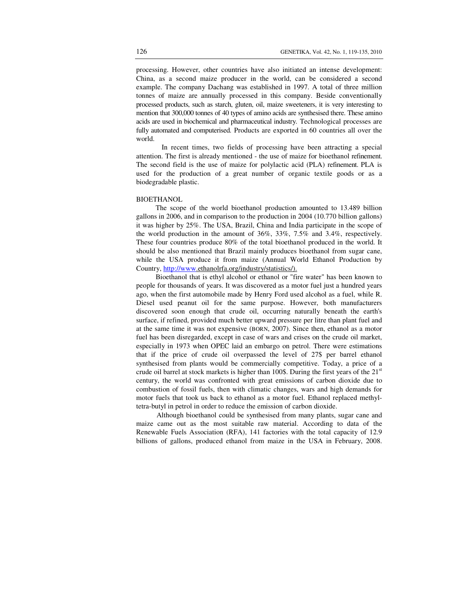processing. However, other countries have also initiated an intense development: China, as a second maize producer in the world, can be considered a second example. The company Dachang was established in 1997. A total of three million tonnes of maize are annually processed in this company. Beside conventionally processed products, such as starch, gluten, oil, maize sweeteners, it is very interesting to mention that 300,000 tonnes of 40 types of amino acids are synthesised there. These amino acids are used in biochemical and pharmaceutical industry. Technological processes are fully automated and computerised. Products are exported in 60 countries all over the world.

In recent times, two fields of processing have been attracting a special attention. The first is already mentioned - the use of maize for bioethanol refinement. The second field is the use of maize for polylactic acid (PLA) refinement. PLA is used for the production of a great number of organic textile goods or as a biodegradable plastic.

## BIOETHANOL

The scope of the world bioethanol production amounted to 13.489 billion gallons in 2006, and in comparison to the production in 2004 (10.770 billion gallons) it was higher by 25%. The USA, Brazil, China and India participate in the scope of the world production in the amount of 36%, 33%, 7.5% and 3.4%, respectively. These four countries produce 80% of the total bioethanol produced in the world. It should be also mentioned that Brazil mainly produces bioethanol from sugar cane, while the USA produce it from maize (Annual World Ethanol Production by Country, http://www.ethanolrfa.org/industry/statistics/).

Bioethanol that is ethyl alcohol or ethanol or "fire water" has been known to people for thousands of years. It was discovered as a motor fuel just a hundred years ago, when the first automobile made by Henry Ford used alcohol as a fuel, while R. Diesel used peanut oil for the same purpose. However, both manufacturers discovered soon enough that crude oil, occurring naturally beneath the earth's surface, if refined, provided much better upward pressure per litre than plant fuel and at the same time it was not expensive (BORN, 2007). Since then, ethanol as a motor fuel has been disregarded, except in case of wars and crises on the crude oil market, especially in 1973 when OPEC laid an embargo on petrol. There were estimations that if the price of crude oil overpassed the level of 27\$ per barrel ethanol synthesised from plants would be commercially competitive. Today, a price of a crude oil barrel at stock markets is higher than 100\$. During the first years of the  $21<sup>st</sup>$ century, the world was confronted with great emissions of carbon dioxide due to combustion of fossil fuels, then with climatic changes, wars and high demands for motor fuels that took us back to ethanol as a motor fuel. Ethanol replaced methyltetra-butyl in petrol in order to reduce the emission of carbon dioxide.

Although bioethanol could be synthesised from many plants, sugar cane and maize came out as the most suitable raw material. According to data of the Renewable Fuels Association (RFA), 141 factories with the total capacity of 12.9 billions of gallons, produced ethanol from maize in the USA in February, 2008.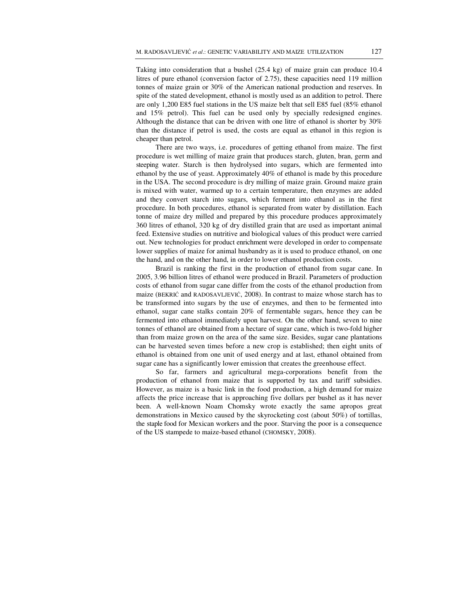Taking into consideration that a bushel (25.4 kg) of maize grain can produce 10.4 litres of pure ethanol (conversion factor of 2.75), these capacities need 119 million tonnes of maize grain or 30% of the American national production and reserves. In spite of the stated development, ethanol is mostly used as an addition to petrol. There are only 1,200 E85 fuel stations in the US maize belt that sell E85 fuel (85% ethanol and 15% petrol). This fuel can be used only by specially redesigned engines. Although the distance that can be driven with one litre of ethanol is shorter by 30% than the distance if petrol is used, the costs are equal as ethanol in this region is cheaper than petrol.

There are two ways, i.e. procedures of getting ethanol from maize. The first procedure is wet milling of maize grain that produces starch, gluten, bran, germ and steeping water. Starch is then hydrolysed into sugars, which are fermented into ethanol by the use of yeast. Approximately 40% of ethanol is made by this procedure in the USA. The second procedure is dry milling of maize grain. Ground maize grain is mixed with water, warmed up to a certain temperature, then enzymes are added and they convert starch into sugars, which ferment into ethanol as in the first procedure. In both procedures, ethanol is separated from water by distillation. Each tonne of maize dry milled and prepared by this procedure produces approximately 360 litres of ethanol, 320 kg of dry distilled grain that are used as important animal feed. Extensive studies on nutritive and biological values of this product were carried out. New technologies for product enrichment were developed in order to compensate lower supplies of maize for animal husbandry as it is used to produce ethanol, on one the hand, and on the other hand, in order to lower ethanol production costs.

Brazil is ranking the first in the production of ethanol from sugar cane. In 2005, 3.96 billion litres of ethanol were produced in Brazil. Parameters of production costs of ethanol from sugar cane differ from the costs of the ethanol production from maize (BEKRIĆ and RADOSAVLJEVIĆ, 2008). In contrast to maize whose starch has to be transformed into sugars by the use of enzymes, and then to be fermented into ethanol, sugar cane stalks contain 20% of fermentable sugars, hence they can be fermented into ethanol immediately upon harvest. On the other hand, seven to nine tonnes of ethanol are obtained from a hectare of sugar cane, which is two-fold higher than from maize grown on the area of the same size. Besides, sugar cane plantations can be harvested seven times before a new crop is established; then eight units of ethanol is obtained from one unit of used energy and at last, ethanol obtained from sugar cane has a significantly lower emission that creates the greenhouse effect.

So far, farmers and agricultural mega-corporations benefit from the production of ethanol from maize that is supported by tax and tariff subsidies. However, as maize is a basic link in the food production, a high demand for maize affects the price increase that is approaching five dollars per bushel as it has never been. A well-known Noam Chomsky wrote exactly the same apropos great demonstrations in Mexico caused by the skyrocketing cost (about 50%) of tortillas, the staple food for Mexican workers and the poor. Starving the poor is a consequence of the US stampede to maize-based ethanol (CHOMSKY, 2008).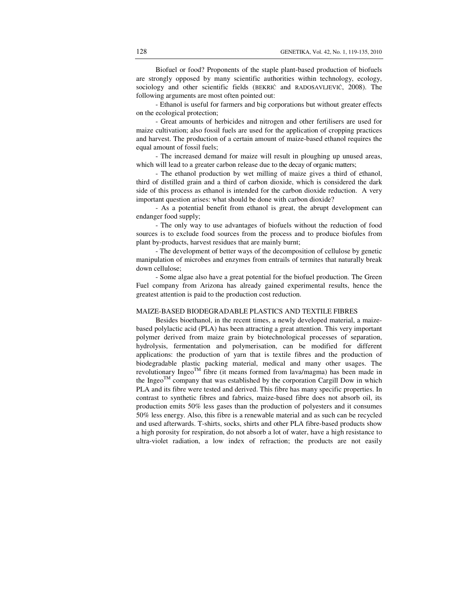Biofuel or food? Proponents of the staple plant-based production of biofuels are strongly opposed by many scientific authorities within technology, ecology, sociology and other scientific fields (BEKRIĆ and RADOSAVLJEVIĆ, 2008). The following arguments are most often pointed out:

- Ethanol is useful for farmers and big corporations but without greater effects on the ecological protection;

- Great amounts of herbicides and nitrogen and other fertilisers are used for maize cultivation; also fossil fuels are used for the application of cropping practices and harvest. The production of a certain amount of maize-based ethanol requires the equal amount of fossil fuels;

- The increased demand for maize will result in ploughing up unused areas, which will lead to a greater carbon release due to the decay of organic matters;

- The ethanol production by wet milling of maize gives a third of ethanol, third of distilled grain and a third of carbon dioxide, which is considered the dark side of this process as ethanol is intended for the carbon dioxide reduction. A very important question arises: what should be done with carbon dioxide?

- As a potential benefit from ethanol is great, the abrupt development can endanger food supply;

- The only way to use advantages of biofuels without the reduction of food sources is to exclude food sources from the process and to produce biofules from plant by-products, harvest residues that are mainly burnt;

- The development of better ways of the decomposition of cellulose by genetic manipulation of microbes and enzymes from entrails of termites that naturally break down cellulose;

- Some algae also have a great potential for the biofuel production. The Green Fuel company from Arizona has already gained experimental results, hence the greatest attention is paid to the production cost reduction.

# MAIZE-BASED BIODEGRADABLE PLASTICS AND TEXTILE FIBRES

Besides bioethanol, in the recent times, a newly developed material, a maizebased polylactic acid (PLA) has been attracting a great attention. This very important polymer derived from maize grain by biotechnological processes of separation, hydrolysis, fermentation and polymerisation, can be modified for different applications: the production of yarn that is textile fibres and the production of biodegradable plastic packing material, medical and many other usages. The revolutionary Ingeo $^{TM}$  fibre (it means formed from lava/magma) has been made in the Ingeo<sup>TM</sup> company that was established by the corporation Cargill Dow in which PLA and its fibre were tested and derived. This fibre has many specific properties. In contrast to synthetic fibres and fabrics, maize-based fibre does not absorb oil, its production emits 50% less gases than the production of polyesters and it consumes 50% less energy. Also, this fibre is a renewable material and as such can be recycled and used afterwards. T-shirts, socks, shirts and other PLA fibre-based products show a high porosity for respiration, do not absorb a lot of water, have a high resistance to ultra-violet radiation, a low index of refraction; the products are not easily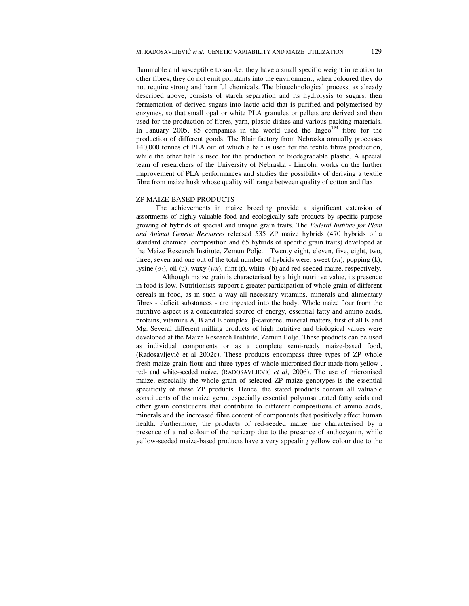flammable and susceptible to smoke; they have a small specific weight in relation to other fibres; they do not emit pollutants into the environment; when coloured they do not require strong and harmful chemicals. The biotechnological process, as already described above, consists of starch separation and its hydrolysis to sugars, then fermentation of derived sugars into lactic acid that is purified and polymerised by enzymes, so that small opal or white PLA granules or pellets are derived and then used for the production of fibres, yarn, plastic dishes and various packing materials. In January 2005, 85 companies in the world used the Ingeo<sup>TM</sup> fibre for the production of different goods. The Blair factory from Nebraska annually processes 140,000 tonnes of PLA out of which a half is used for the textile fibres production, while the other half is used for the production of biodegradable plastic. A special team of researchers of the University of Nebraska - Lincoln, works on the further improvement of PLA performances and studies the possibility of deriving a textile fibre from maize husk whose quality will range between quality of cotton and flax.

#### ZP MAIZE-BASED PRODUCTS

 The achievements in maize breeding provide a significant extension of assortments of highly-valuable food and ecologically safe products by specific purpose growing of hybrids of special and unique grain traits. The *Federal Institute for Plant and Animal Genetic Resources* released 535 ZP maize hybrids (470 hybrids of a standard chemical composition and 65 hybrids of specific grain traits) developed at the Maize Research Institute, Zemun Polje. Twenty eight, eleven, five, eight, two, three, seven and one out of the total number of hybrids were: sweet (*su*), popping (k), lysine  $(o_2)$ , oil (u), waxy (*wx*), flint (t), white- (b) and red-seeded maize, respectively.

 Although maize grain is characterised by a high nutritive value, its presence in food is low. Nutritionists support a greater participation of whole grain of different cereals in food, as in such a way all necessary vitamins, minerals and alimentary fibres - deficit substances - are ingested into the body. Whole maize flour from the nutritive aspect is a concentrated source of energy, essential fatty and amino acids, proteins, vitamins A, B and E complex, β-carotene, mineral matters, first of all K and Mg. Several different milling products of high nutritive and biological values were developed at the Maize Research Institute, Zemun Polje. These products can be used as individual components or as a complete semi-ready maize-based food, (Radosavljević et al 2002c). These products encompass three types of ZP whole fresh maize grain flour and three types of whole micronised flour made from yellow-, red- and white-seeded maize, (RADOSAVLJEVIĆ *et al*, 2006). The use of micronised maize, especially the whole grain of selected ZP maize genotypes is the essential specificity of these ZP products. Hence, the stated products contain all valuable constituents of the maize germ, especially essential polyunsaturated fatty acids and other grain constituents that contribute to different compositions of amino acids, minerals and the increased fibre content of components that positively affect human health. Furthermore, the products of red-seeded maize are characterised by a presence of a red colour of the pericarp due to the presence of anthocyanin, while yellow-seeded maize-based products have a very appealing yellow colour due to the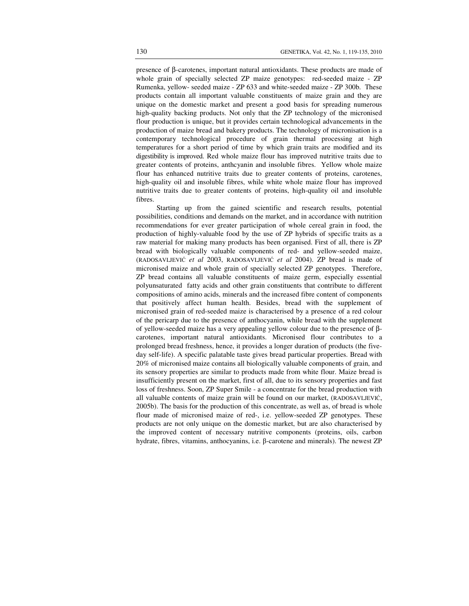presence of β-carotenes, important natural antioxidants. These products are made of whole grain of specially selected ZP maize genotypes: red-seeded maize - ZP Rumenka, yellow- seeded maize - ZP 633 and white-seeded maize - ZP 300b. These products contain all important valuable constituents of maize grain and they are unique on the domestic market and present a good basis for spreading numerous high-quality backing products. Not only that the ZP technology of the micronised flour production is unique, but it provides certain technological advancements in the production of maize bread and bakery products. The technology of micronisation is a contemporary technological procedure of grain thermal processing at high temperatures for a short period of time by which grain traits are modified and its digestibility is improved. Red whole maize flour has improved nutritive traits due to greater contents of proteins, anthcyanin and insoluble fibres. Yellow whole maize flour has enhanced nutritive traits due to greater contents of proteins, carotenes, high-quality oil and insoluble fibres, while white whole maize flour has improved nutritive traits due to greater contents of proteins, high-quality oil and insoluble fibres.

Starting up from the gained scientific and research results, potential possibilities, conditions and demands on the market, and in accordance with nutrition recommendations for ever greater participation of whole cereal grain in food, the production of highly-valuable food by the use of ZP hybrids of specific traits as a raw material for making many products has been organised. First of all, there is ZP bread with biologically valuable components of red- and yellow-seeded maize, (RADOSAVLJEVIĆ *et al* 2003, RADOSAVLJEVIĆ *et al* 2004). ZP bread is made of micronised maize and whole grain of specially selected ZP genotypes. Therefore, ZP bread contains all valuable constituents of maize germ, especially essential polyunsaturated fatty acids and other grain constituents that contribute to different compositions of amino acids, minerals and the increased fibre content of components that positively affect human health. Besides, bread with the supplement of micronised grain of red-seeded maize is characterised by a presence of a red colour of the pericarp due to the presence of anthocyanin, while bread with the supplement of yellow-seeded maize has a very appealing yellow colour due to the presence of βcarotenes, important natural antioxidants. Micronised flour contributes to a prolonged bread freshness, hence, it provides a longer duration of products (the fiveday self-life). A specific palatable taste gives bread particular properties. Bread with 20% of micronised maize contains all biologically valuable components of grain, and its sensory properties are similar to products made from white flour. Maize bread is insufficiently present on the market, first of all, due to its sensory properties and fast loss of freshness. Soon, ZP Super Smile - a concentrate for the bread production with all valuable contents of maize grain will be found on our market, (RADOSAVLJEVIĆ, 2005b). The basis for the production of this concentrate, as well as, of bread is whole flour made of micronised maize of red-, i.e. yellow-seeded ZP genotypes. These products are not only unique on the domestic market, but are also characterised by the improved content of necessary nutritive components (proteins, oils, carbon hydrate, fibres, vitamins, anthocyanins, i.e. β-carotene and minerals). The newest ZP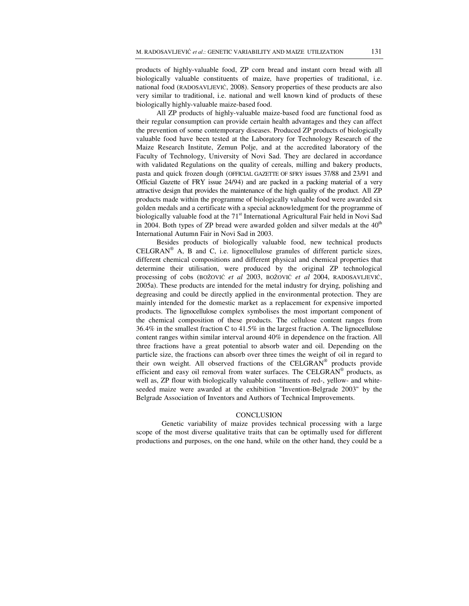products of highly-valuable food, ZP corn bread and instant corn bread with all biologically valuable constituents of maize, have properties of traditional, i.e. national food (RADOSAVLJEVIĆ, 2008). Sensory properties of these products are also very similar to traditional, i.e. national and well known kind of products of these biologically highly-valuable maize-based food.

All ZP products of highly-valuable maize-based food are functional food as their regular consumption can provide certain health advantages and they can affect the prevention of some contemporary diseases. Produced ZP products of biologically valuable food have been tested at the Laboratory for Technology Research of the Maize Research Institute, Zemun Polje, and at the accredited laboratory of the Faculty of Technology, University of Novi Sad. They are declared in accordance with validated Regulations on the quality of cereals, milling and bakery products, pasta and quick frozen dough (OFFICIAL GAZETTE OF SFRY issues 37/88 and 23/91 and Official Gazette of FRY issue 24/94) and are packed in a packing material of a very attractive design that provides the maintenance of the high quality of the product. All ZP products made within the programme of biologically valuable food were awarded six golden medals and a certificate with a special acknowledgment for the programme of biologically valuable food at the  $71<sup>st</sup>$  International Agricultural Fair held in Novi Sad in 2004. Both types of ZP bread were awarded golden and silver medals at the  $40<sup>th</sup>$ International Autumn Fair in Novi Sad in 2003.

Besides products of biologically valuable food, new technical products  $\text{CELGRAN}^{\circledast}$  A, B and C, i.e. lignocellulose granules of different particle sizes, different chemical compositions and different physical and chemical properties that determine their utilisation, were produced by the original ZP technological processing of cobs (BOŽOVIĆ *et al* 2003, BOŽOVIĆ *et al* 2004, RADOSAVLJEVIĆ, 2005a). These products are intended for the metal industry for drying, polishing and degreasing and could be directly applied in the environmental protection. They are mainly intended for the domestic market as a replacement for expensive imported products. The lignocellulose complex symbolises the most important component of the chemical composition of these products. The cellulose content ranges from 36.4% in the smallest fraction C to 41.5% in the largest fraction A. The lignocellulose content ranges within similar interval around 40% in dependence on the fraction. All three fractions have a great potential to absorb water and oil. Depending on the particle size, the fractions can absorb over three times the weight of oil in regard to their own weight. All observed fractions of the CELGRAN® products provide efficient and easy oil removal from water surfaces. The CELGRAN® products, as well as, ZP flour with biologically valuable constituents of red-, yellow- and whiteseeded maize were awarded at the exhibition "Invention-Belgrade 2003" by the Belgrade Association of Inventors and Authors of Technical Improvements.

#### **CONCLUSION**

Genetic variability of maize provides technical processing with a large scope of the most diverse qualitative traits that can be optimally used for different productions and purposes, on the one hand, while on the other hand, they could be a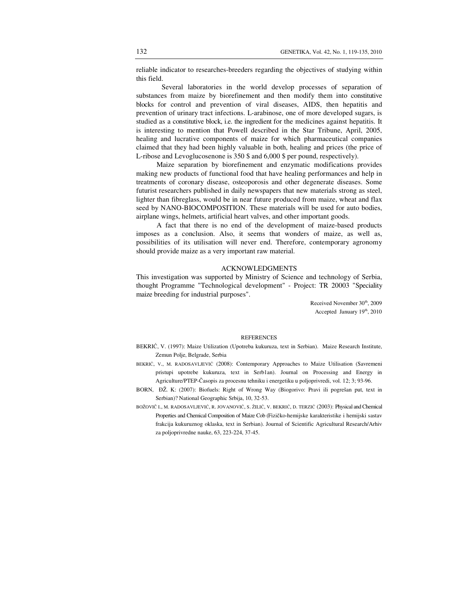reliable indicator to researches-breeders regarding the objectives of studying within this field.

Several laboratories in the world develop processes of separation of substances from maize by biorefinement and then modify them into constitutive blocks for control and prevention of viral diseases, AIDS, then hepatitis and prevention of urinary tract infections. L-arabinose, one of more developed sugars, is studied as a constitutive block, i.e. the ingredient for the medicines against hepatitis. It is interesting to mention that Powell described in the Star Tribune, April, 2005, healing and lucrative components of maize for which pharmaceutical companies claimed that they had been highly valuable in both, healing and prices (the price of L-ribose and Levoglucosenone is 350 \$ and 6,000 \$ per pound, respectively).

Maize separation by biorefinement and enzymatic modifications provides making new products of functional food that have healing performances and help in treatments of coronary disease, osteoporosis and other degenerate diseases. Some futurist researchers published in daily newspapers that new materials strong as steel, lighter than fibreglass, would be in near future produced from maize, wheat and flax seed by NANO-BIOCOMPOSITION. These materials will be used for auto bodies, airplane wings, helmets, artificial heart valves, and other important goods.

A fact that there is no end of the development of maize-based products imposes as a conclusion. Also, it seems that wonders of maize, as well as, possibilities of its utilisation will never end. Therefore, contemporary agronomy should provide maize as a very important raw material.

## ACKNOWLEDGMENTS

This investigation was supported by Ministry of Science and technology of Serbia, thought Programme "Technological development" - Project: TR 20003 "Speciality maize breeding for industrial purposes".

> Received November 30<sup>th</sup>, 2009 Accepted January  $19<sup>th</sup>$ , 2010

#### **REFERENCES**

- BEKRIĆ, V. (1997): Maize Utilization (Upotreba kukuruza, text in Serbian). Maize Research Institute, Zemun Polje, Belgrade, Serbia
- BEKRIĆ, V., M. RADOSAVLJEVIĆ (2008): Contemporary Approaches to Maize Utilisation (Savremeni pristupi upotrebe kukuruza, text in Serb1an). Journal on Processing and Energy in Agriculture/PTEP-Časopis za procesnu tehniku i energetiku u poljoprivredi, vol. 12; 3; 93-96.
- BORN, ĐŽ. K: (2007): Biofuels: Right of Wrong Way (Biogorivo: Pravi ili pogrešan put, text in Serbian)? National Geographic Srbija, 10, 32-53.
- BOŽOVIČ I., M. RADOSAVLJEVIĆ, R. JOVANOVIĆ, S. ŽILIĆ, V. BEKRIĆ, D. TERZIĆ (2003): Physical and Chemical Properties and Chemical Composition of Maize Cob (Fizičko-hemijske karakteristike i hemijski sastav frakcija kukuruznog oklaska, text in Serbian). Journal of Scientific Agricultural Research/Arhiv za poljoprivredne nauke, 63, 223-224, 37-45.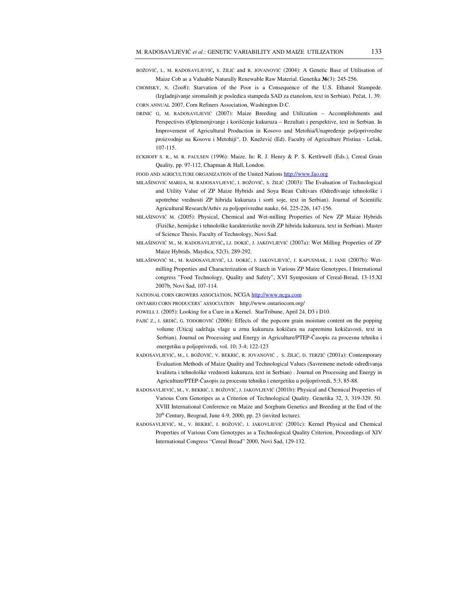- BOŽOVIĆ, I., <sup>M</sup>. RADOSAVLJEVIĆ*,* <sup>S</sup>. ŽILI<sup>Ć</sup> and R. JOVANOVIĆ (2004): A Genetic Base of Utilisation of Maize Cob as a Valuable Naturally Renewable Raw Material. Genetika **36**(3): 245-256.
- CHOMSKY, N. (2oo8): Starvation of the Poor is a Consequence of the U.S. Ethanol Stampede. (Izgladnjivanje siromašnih je posledica stampeda SAD za etanolom, text in Serbian). Pečat, 1, 39.
- CORN ANNUAL 2007, Corn Refiners Association, Washington D.C.
- DRINIĆ G, M. RADOSAVLJEVIĆ (2007): Maize Breeding and Utilization Accomplishments and Perspectives **(**Oplemenjivanje i korišćenje kukuruza – Rezultati i perspektive, text in Serbian. In Improvement of Agricultural Production in Kosovo and Metohia/Unapređenje poljoprivredne proizvodnje na Kosovu i Metohiji", D. Knežević (Ed). Faculty of Agriculture Pristina - Lešak, 107-115.
- ECKHOFF S. R., M. R. PAULSEN (1996): Maize. In: R. J. Henry & P. S. Kettlrwell (Eds.), Cereal Grain Quality, pp. 97-112, Chapman & Hall, London.
- FOOD AND AGRICULTURE ORGANIZATION of the United Nations http://www.fao.org
- MILAŠINOVIĆ MARIJA, M. RADOSAVLJEVIĆ, I. BOŽOVIĆ, S. ŽILIĆ (2003): The Evaluation of Technological and Utility Value of ZP Maize Hybrids and Soya Bean Cultivars (Određivanje tehnološke i upotrebne vrednosti ZP hibrida kukuruza i sorti soje, text in Serbian). Journal of Scientific Agricultural Research/Arhiv za poljoprivredne nauke, 64, 225-226, 147-156.
- MILAŠINOVIĆ M. (2005): Physical, Chemical and Wet-milling Properties of New ZP Maize Hybrids (Fizičke, hemijske i tehnološke karakteristike novih ZP hibrida kukuruza, text in Serbian). Master of Science Thesis, Faculty of Technology, Novi Sad.
- MILAŠINOVIĆ M., M. RADOSAVLJEVIĆ**,** LJ. DOKIĆ, J. JAKOVLJEVIĆ (2007a): Wet Milling Properties of ZP Maize Hybrids. Maydica, 52(3), 289-292.
- MILAŠINOVIĆ M., M. RADOSAVLJEVIĆ, LJ. DOKIĆ, J. JAKOVLJEVIĆ, J. KAPUSNIAK, J. JANE (2007b): Wetmilling Properties and Characterization of Starch in Various ZP Maize Genotypes, I International congress "Food Technology, Quality and Safety", XVI Symposium of Cereal-Bread, 13-15.XI 2007b, Novi Sad, 107-114.
- NATIONAL CORN GROWERS ASSOCIATION, NCGA http://www.ncga.com
- ONTARIO CORN PRODUCERS' ASSOCIATION http://www.ontariocorn.org/
- POWELL J. (2005): Looking for a Cure in a Kernel. StarTribune, April 24, D3 i D10.
- PAJIĆ Z., J. SRDIĆ, G. TODOROVIĆ (2006): Effects of the popcorn grain moisture content on the popping volume (Uticaj sadržaja vlage u zrnu kukuruza kokičara na zapreminu kokičavosti, text in Serbian). Journal on Processing and Energy in Agriculture/PTEP-Časopis za procesnu tehniku i energetiku u poljoprivredi, vol. 10; 3-4; 122-123
- RADOSAVLJEVIĆ, M., I. BOŽOVIĆ, V. BEKRIĆ, R. JOVANOVIĆ , S. ŽILIĆ, D. TERZIĆ (2001a): Contemporary Evaluation Methods of Maize Quality and Technological Values (Savremene metode određivanja kvaliteta i tehnološke vrednosti kukuruza, text in Serbian) . Journal on Processing and Energy in Agriculture/PTEP-Časopis za procesnu tehniku i energetiku u poljoprivredi, 5:3, 85-88.
- RADOSAVLJEVIĆ, M., V. BEKRIĆ, I. BOŽOVIĆ, J. JAKOVLJEVIĆ (2001b): Physical and Chemical Properties of Various Corn Genotipes as a Criterion of Technological Quality. Genetika 32, 3, 319-329. 50. XVIII International Conference on Maize and Sorghum Genetics and Breeding at the End of the 20th Century, Beograd, June 4-9, 2000, pp. 23 (invited lecture).
- RADOSAVLJEVIĆ, M., V. BEKRIĆ, I. BOŽOVIĆ, J. JAKOVLJEVIĆ (2001c): Kernel Physical and Chemical Properties of Various Corn Genotypes as a Technological Quality Criterion, Proceedings of XIV International Congress "Cereal Bread" 2000, Novi Sad, 129-132.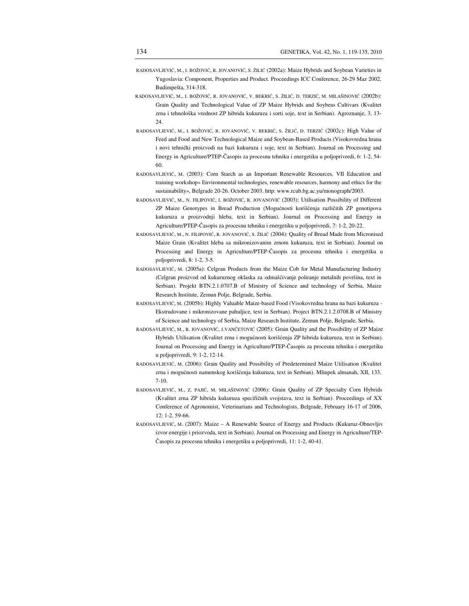- RADOSAVLJEVIĆ, M., I. BOŽOVIĆ, R. JOVANOVIĆ, S. ŽILIĆ (2002a): Maize Hybrids and Soybean Varieties in Yugoslavia: Component, Properties and Product. Proceedings ICC Conference, 26-29 Maz 2002, Budimpešta, 314-318.
- RADOSAVLJEVIĆ, M., I. BOŽOVIĆ, R. JOVANOVIĆ, V. BEKRIĆ, S. ŽILIĆ, D. TERZIĆ, M. MILAŠINOVIĆ (2002b): Grain Quality and Technological Value of ZP Maize Hybrids and Soybeas Cultivars (Kvalitet zrna i tehnološka vrednost ZP hibrida kukuruza i sorti soje, text in Serbian). Agroznanje, 3, 13- 24.
- RADOSAVLJEVIĆ, M., I. BOŽOVIĆ, R. JOVANOVIĆ, V. BEKRIĆ, S. ŽILIĆ, D. TERZIĆ (2002c): High Value of Feed and Food and New Technological Maize and Soybean-Based Products (Visokovredna hrana i novi tehnički proizvodi na bazi kukuruza i soje, text in Serbian). Journal on Processing and Energy in Agriculture/PTEP-Časopis za procesnu tehniku i energetiku u poljoprivredi, 6: 1-2, 54- 60.
- RADOSAVLJEVIĆ, M. (2003): Corn Starch as an Important Renewable Resources, VII Education and training workshop» Environmental technologies, renewable resources, harmony and ethics for the sustainability», Belgrade 20-26. October 2003. http: www.rcub.bg.ac.yu/monograph/2003.
- RADOSAVLJEVIĆ, M., N. FILIPOVIĆ, I. BOŽOVIĆ, R. JOVANOVIĆ (2003): Utilisation Possibility of Different ZP Maize Genotypes in Bread Production (Mogućnosti korišćenja različitih ZP genotipova kukuruza u proizvodnji hleba, text in Serbian). Journal on Processing and Energy in Agriculture/PTEP-Časopis za procesnu tehniku i energetiku u poljoprivredi, 7: 1-2, 20-22.
- RADOSAVLJEVIĆ, M., N. FILIPOVIĆ, R. JOVANOVIĆ, S. ŽILIĆ (2004): Quality of Bread Made from Micronised Maize Grain (Kvalitet hleba sa mikronizovanim zrnom kukuruza, text in Serbian). Journal on Processing and Energy in Agriculture/PTEP-Časopis za procesnu tehniku i energetiku u poljoprivredi, 8: 1-2, 3-5.
- RADOSAVLJEVIĆ, M. (2005a): Celgran Products from the Maize Cob for Metal Manufacturing Industry (Celgran proizvod od kukuruznog oklaska za odmašćivanje poliranje metalnih površina, text in Serbian). Projekt BTN.2.1.0707.B of Ministry of Science and technology of Serbia, Maize Research Institute, Zemun Polje, Belgrade, Serbia.
- RADOSAVLJEVIĆ, M. (2005b): Highly Valuable Maize-based Food (Visokovredna hrana na bazi kukuruza Ekstrudovane i mikronizovane pahuljice, text in Serbian). Project BTN.2.1.2.0708.B of Ministry of Science and technology of Serbia, Maize Research Institute, Zemun Polje, Belgrade, Serbia.
- RADOSAVLJEVIĆ, M., R. JOVANOVIĆ, J.VANČETOVIĆ (2005): Grain Quality and the Possibility of ZP Maize Hybrids Utilisation (Kvalitet zrna i mogućnosti korišćenja ZP hibrida kukuruza, text in Serbian). Journal on Processing and Energy in Agriculture/PTEP-Časopis za procesnu tehniku i energetiku u poljoprivredi, 9: 1-2, 12-14.
- RADOSAVLJEVIĆ, M. (2006): Grain Quality and Possibility of Predetermined Maize Utilisation (Kvalitet zrna i mogućnosti namenskog korišćenja kukuruza, text in Serbian). Mlinpek almanah, XII, 133, 7-10.
- RADOSAVLJEVIĆ, M., Z. PAJIĆ, M. MILAŠINOVIĆ (2006): Grain Quality of ZP Specialty Corn Hybrids (Kvalitet zrna ZP hibrida kukuruza specifičnih svojstava, text in Serbian). Proceedings of XX Conference of Agronomist, Veterinarians and Technologists, Belgrade, February 16-17 of 2006, 12: 1-2, 59-66.
- RADOSAVLJEVIĆ, M. (2007): Maize A Renewable Source of Energy and Products (Kukuruz-Obnovljiv izvor energije i priozvoda, text in Serbian). Journal on Processing and Energy in Agriculture/TEP-Časopis za procesnu tehniku i energetiku u poljoprivredi, 11: 1-2, 40-41.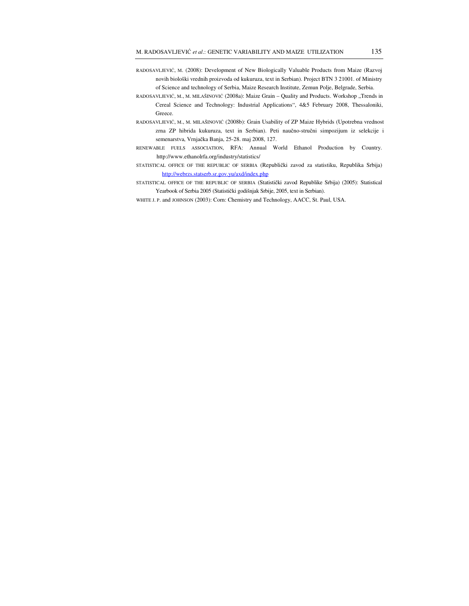- RADOSAVLJEVIĆ, M. (2008): Development of New Biologically Valuable Products from Maize (Razvoj novih biološki vrednih proizvoda od kukuruza, text in Serbian). Project BTN 3 21001. of Ministry of Science and technology of Serbia, Maize Research Institute, Zemun Polje, Belgrade, Serbia.
- RADOSAVLJEVIĆ, M., M. MILAŠINOVIĆ (2008a): Maize Grain Quality and Products. Workshop "Trends in Cereal Science and Technology: Industrial Applications", 4&5 February 2008, Thessaloniki, Greece.
- RADOSAVLJEVIĆ, M., M. MILAŠINOVIĆ (2008b): Grain Usability of ZP Maize Hybrids (Upotrebna vrednost zrna ZP hibrida kukuruza, text in Serbian). Peti naučno-stručni simpozijum iz selekcije i semenarstva, Vrnjačka Banja, 25-28. maj 2008, 127.
- RENEWABLE FUELS ASSOCIATION, RFA: Annual World Ethanol Production by Country. http://www.ethanolrfa.org/industry/statistics/
- STATISTICAL OFFICE OF THE REPUBLIC OF SERBIA (Republički zavod za statistiku, Republika Srbija) http://webrzs.statserb.sr.gov.yu/axd/index.php
- STATISTICAL OFFICE OF THE REPUBLIC OF SERBIA (Statistički zavod Republike Srbija) (2005): Statistical Yearbook of Serbia 2005 (Statistički godišnjak Srbije, 2005, text in Serbian).
- WHITE J. P. and JOHNSON (2003): Corn: Chemistry and Technology, AACC, St. Paul, USA.